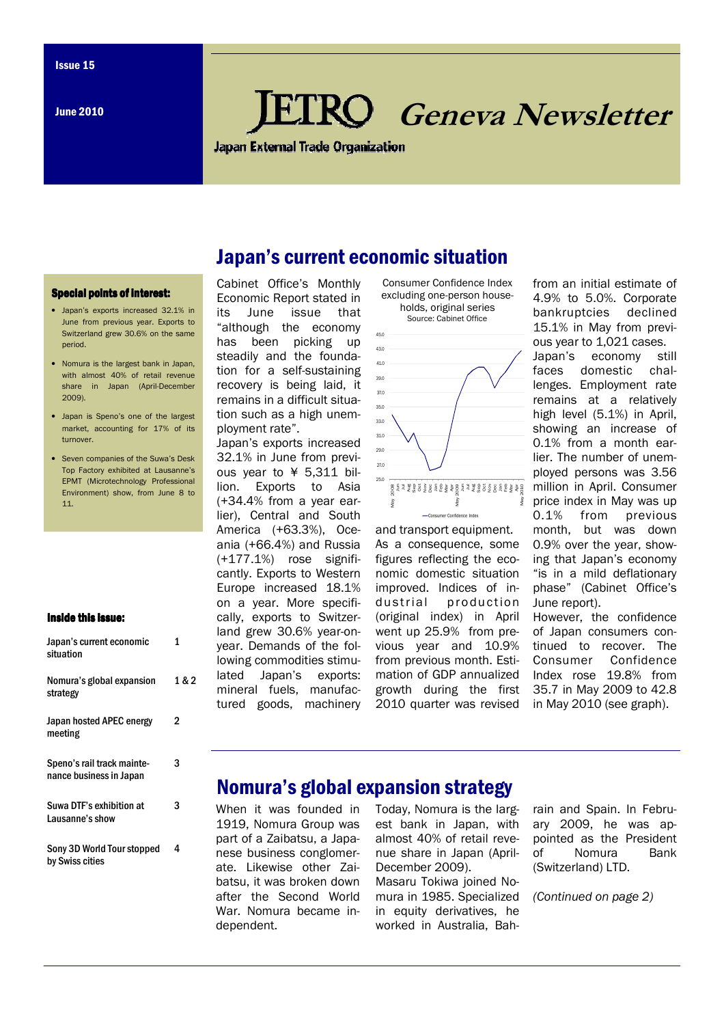June 2010

# **RO** Geneva Newsletter

**Japan External Trade Organization** 

Japan's current economic situation

#### Special points of interest:

- Japan's exports increased 32.1% in June from previous year. Exports to Switzerland grew 30.6% on the same period.
- Nomura is the largest bank in Japan, with almost 40% of retail revenue share in Japan (April-December 2009).
- Japan is Speno's one of the largest market, accounting for 17% of its turnover.
- Seven companies of the Suwa's Desk Top Factory exhibited at Lausanne's EPMT (Microtechnology Professional Environment) show, from June 8 to 11.

#### Inside this issue:

| Japan's current economic<br>situation                 | 1     |
|-------------------------------------------------------|-------|
| Nomura's global expansion<br>strategy                 | 1 & 2 |
| Japan hosted APEC energy<br>meeting                   | 2     |
| Speno's rail track mainte-<br>nance business in Japan | 3     |
| Suwa DTF's exhibition at<br>Lausanne's show           | 3     |
| Sony 3D World Tour stopped<br>hy Swiss cities         | 4     |

#### Cabinet Office's Monthly Economic Report stated in its June issue that "although the economy has been picking up steadily and the foundation for a self-sustaining recovery is being laid, it 39.0 43.0 45.0

remains in a difficult situation such as a high unem-

ployment rate". Japan's exports increased 32.1% in June from previous year to ¥ 5,311 billion. Exports to Asia (+34.4% from a year earlier), Central and South America (+63.3%), Oceania (+66.4%) and Russia (+177.1%) rose significantly. Exports to Western Europe increased 18.1% on a year. More specifically, exports to Switzerland grew 30.6% year-onyear. Demands of the following commodities stimulated Japan's exports: mineral fuels, manufactured goods, machinery





and transport equipment. As a consequence, some figures reflecting the economic domestic situation improved. Indices of industrial production (original index) in April went up 25.9% from previous year and 10.9% from previous month. Estimation of GDP annualized growth during the first 2010 quarter was revised

from an initial estimate of 4.9% to 5.0%. Corporate bankruptcies declined 15.1% in May from previous year to 1,021 cases.

Japan's economy still faces domestic challenges. Employment rate remains at a relatively high level (5.1%) in April, showing an increase of 0.1% from a month earlier. The number of unemployed persons was 3.56 million in April. Consumer price index in May was up 0.1% from previous month, but was down 0.9% over the year, showing that Japan's economy "is in a mild deflationary phase" (Cabinet Office's June report).

However, the confidence of Japan consumers continued to recover. The Consumer Confidence Index rose 19.8% from 35.7 in May 2009 to 42.8 in May 2010 (see graph).

## Nomura's global expansion strategy

When it was founded in 1919, Nomura Group was part of a Zaibatsu, a Japanese business conglomerate. Likewise other Zaibatsu, it was broken down after the Second World War. Nomura became independent.

Today, Nomura is the largest bank in Japan, with almost 40% of retail revenue share in Japan (April-December 2009).

Masaru Tokiwa joined Nomura in 1985. Specialized in equity derivatives, he worked in Australia, Bah-

rain and Spain. In February 2009, he was appointed as the President of Nomura Bank (Switzerland) LTD.

(Continued on page 2)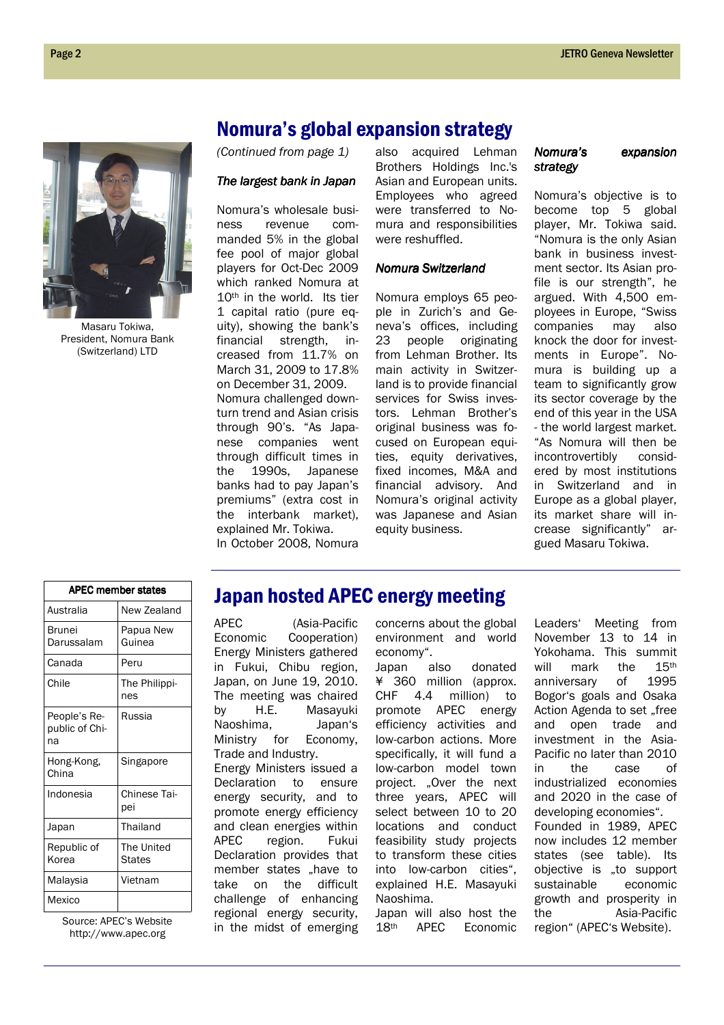

Masaru Tokiwa, President, Nomura Bank (Switzerland) LTD

## Nomura's global expansion strategy

(Continued from page 1)

#### The largest bank in Japan

Nomura's wholesale business revenue commanded 5% in the global fee pool of major global players for Oct-Dec 2009 which ranked Nomura at 10th in the world. Its tier 1 capital ratio (pure equity), showing the bank's financial strength, increased from 11.7% on March 31, 2009 to 17.8% on December 31, 2009. Nomura challenged downturn trend and Asian crisis through 90's. "As Japanese companies went through difficult times in the 1990s, Japanese banks had to pay Japan's premiums" (extra cost in the interbank market), explained Mr. Tokiwa. In October 2008, Nomura also acquired Lehman Brothers Holdings Inc.'s Asian and European units. Employees who agreed were transferred to Nomura and responsibilities were reshuffled.

## Nomura Switzerland

Nomura employs 65 people in Zurich's and Geneva's offices, including 23 people originating from Lehman Brother. Its main activity in Switzerland is to provide financial services for Swiss investors. Lehman Brother's original business was focused on European equities, equity derivatives, fixed incomes, M&A and financial advisory. And Nomura's original activity was Japanese and Asian equity business.

## Nomura's expansion strategy

Nomura's objective is to become top 5 global player, Mr. Tokiwa said. "Nomura is the only Asian bank in business investment sector. Its Asian profile is our strength", he argued. With 4,500 employees in Europe, "Swiss companies may also knock the door for investments in Europe". Nomura is building up a team to significantly grow its sector coverage by the end of this year in the USA - the world largest market. "As Nomura will then be incontrovertibly considered by most institutions in Switzerland and in Europe as a global player, its market share will increase significantly" argued Masaru Tokiwa.

| <b>APEC member states</b>            |                      |
|--------------------------------------|----------------------|
| Australia                            | New Zealand          |
| Brunei<br>Darussalam                 | Papua New<br>Guinea  |
| Canada                               | Peru                 |
| Chile                                | The Philippi-<br>nes |
| People's Re-<br>public of Chi-<br>na | Russia               |
| Hong-Kong,<br>China                  | Singapore            |
| Indonesia                            | Chinese Tai-<br>pei  |
| Japan                                | Thailand             |
| Republic of<br>Korea                 | The United<br>States |
| Malaysia                             | Vietnam              |
| Mexico                               |                      |

Source: APEC's Website http://www.apec.org

## Japan hosted APEC energy meeting

APEC (Asia-Pacific Economic Cooperation) Energy Ministers gathered in Fukui, Chibu region, Japan, on June 19, 2010. The meeting was chaired by H.E. Masayuki Naoshima, Japan's Ministry for Economy, Trade and Industry. Energy Ministers issued a Declaration to ensure energy security, and to promote energy efficiency and clean energies within APEC region. Fukui Declaration provides that member states "have to take on the difficult challenge of enhancing regional energy security, in the midst of emerging concerns about the global environment and world economy".

Japan also donated ¥ 360 million (approx. CHF 4.4 million) to promote APEC energy efficiency activities and low-carbon actions. More specifically, it will fund a low-carbon model town project. .Over the next three years, APEC will select between 10 to 20 locations and conduct feasibility study projects to transform these cities into low-carbon cities", explained H.E. Masayuki Naoshima.

Japan will also host the 18th APEC Economic

Leaders' Meeting from November 13 to 14 in Yokohama. This summit will mark the 15<sup>th</sup> anniversary of 1995 Bogor's goals and Osaka Action Agenda to set "free and open trade and investment in the Asia-Pacific no later than 2010 in the case of industrialized economies and 2020 in the case of developing economies". Founded in 1989, APEC now includes 12 member states (see table). Its objective is "to support sustainable economic growth and prosperity in the Asia-Pacific region" (APEC's Website).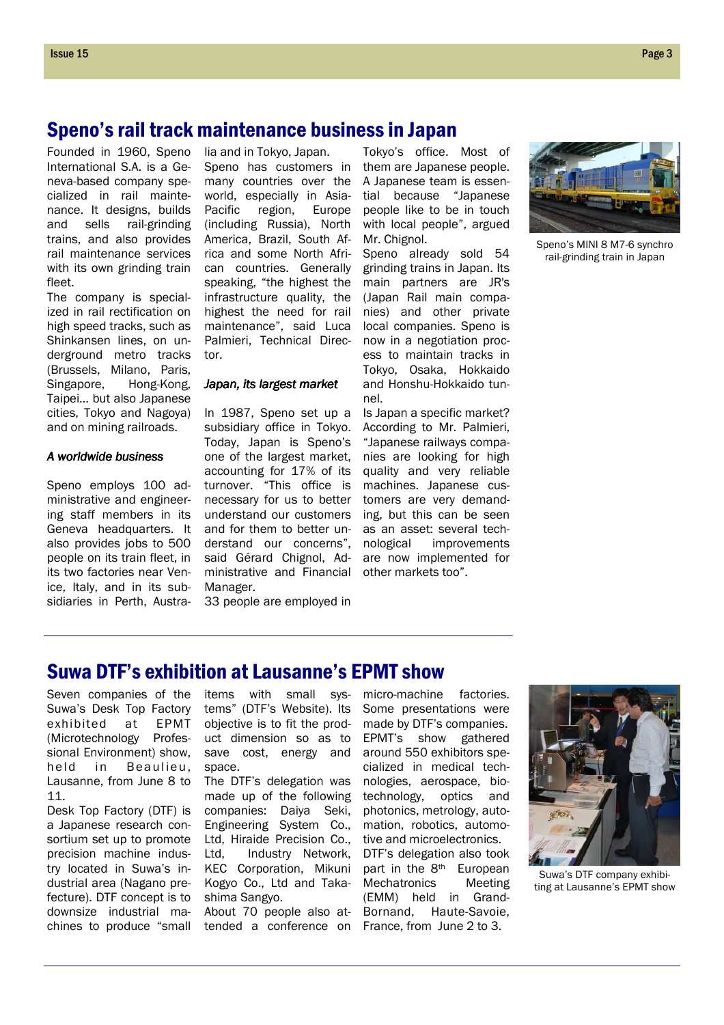## Speno's rail track maintenance business in Japan

Founded in 1960, Speno International S.A. is a Geneva-based company specialized in rail maintenance. It designs, builds and sells rail-grinding trains, and also provides rail maintenance services with its own grinding train fleet.

The company is specialized in rail rectification on high speed tracks, such as Shinkansen lines, on underground metro tracks (Brussels, Milano, Paris, Singapore, Hong-Kong, Taipei… but also Japanese cities, Tokyo and Nagoya) and on mining railroads.

#### A worldwide business

Speno employs 100 administrative and engineering staff members in its Geneva headquarters. It also provides jobs to 500 people on its train fleet, in its two factories near Venice, Italy, and in its subsidiaries in Perth, Austra-

lia and in Tokyo, Japan. Speno has customers in many countries over the world, especially in Asia-Pacific region, Europe (including Russia), North America, Brazil, South Africa and some North African countries. Generally speaking, "the highest the infrastructure quality, the highest the need for rail maintenance", said Luca Palmieri, Technical Director.

#### Japan, its largest market

In 1987, Speno set up a subsidiary office in Tokyo. Today, Japan is Speno's one of the largest market, accounting for 17% of its turnover. "This office is necessary for us to better understand our customers and for them to better understand our concerns", said Gérard Chignol, Administrative and Financial other markets too". Manager.

33 people are employed in

Tokyo's office. Most of them are Japanese people. A Japanese team is essential because "Japanese people like to be in touch with local people", argued Mr. Chignol.

Speno already sold 54 grinding trains in Japan. Its main partners are JR's (Japan Rail main companies) and other private local companies. Speno is now in a negotiation process to maintain tracks in Tokyo, Osaka, Hokkaido and Honshu-Hokkaido tunnel.

Is Japan a specific market? According to Mr. Palmieri, "Japanese railways companies are looking for high quality and very reliable machines. Japanese customers are very demanding, but this can be seen as an asset: several technological improvements are now implemented for



Speno's MINI 8 M7-6 synchro rail-grinding train in Japan

## Suwa DTF's exhibition at Lausanne's EPMT show

Seven companies of the Suwa's Desk Top Factory exhibited at EPMT (Microtechnology Professional Environment) show, held in Beaulieu, Lausanne, from June 8 to 11.

Desk Top Factory (DTF) is a Japanese research consortium set up to promote precision machine industry located in Suwa's industrial area (Nagano prefecture). DTF concept is to downsize industrial machines to produce "small

items with small systems" (DTF's Website). Its objective is to fit the product dimension so as to save cost, energy and space.

The DTF's delegation was made up of the following companies: Daiya Seki, Engineering System Co., Ltd, Hiraide Precision Co., Ltd, Industry Network, KEC Corporation, Mikuni Kogyo Co., Ltd and Takashima Sangyo.

About 70 people also attended a conference on micro-machine factories. Some presentations were made by DTF's companies. EPMT's show gathered around 550 exhibitors specialized in medical technologies, aerospace, biotechnology, optics and photonics, metrology, automation, robotics, automotive and microelectronics. DTF's delegation also took part in the 8th European Mechatronics Meeting (EMM) held in Grand-Bornand, Haute-Savoie, France, from June 2 to 3.



Suwa's DTF company exhibiting at Lausanne's EPMT show